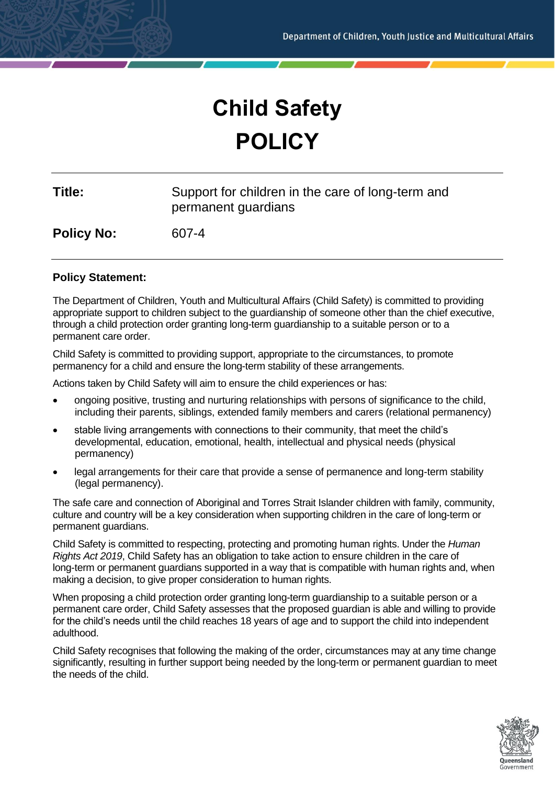# **Child Safety POLICY**

| Title: | Support for children in the care of long-term and |
|--------|---------------------------------------------------|
|        | permanent guardians                               |

**Policy No:** 607-4

# **Policy Statement:**

The Department of Children, Youth and Multicultural Affairs (Child Safety) is committed to providing appropriate support to children subject to the guardianship of someone other than the chief executive, through a child protection order granting long-term guardianship to a suitable person or to a permanent care order.

Child Safety is committed to providing support, appropriate to the circumstances, to promote permanency for a child and ensure the long-term stability of these arrangements.

Actions taken by Child Safety will aim to ensure the child experiences or has:

- ongoing positive, trusting and nurturing relationships with persons of significance to the child, including their parents, siblings, extended family members and carers (relational permanency)
- stable living arrangements with connections to their community, that meet the child's developmental, education, emotional, health, intellectual and physical needs (physical permanency)
- legal arrangements for their care that provide a sense of permanence and long-term stability (legal permanency).

The safe care and connection of Aboriginal and Torres Strait Islander children with family, community, culture and country will be a key consideration when supporting children in the care of long-term or permanent guardians.

Child Safety is committed to respecting, protecting and promoting human rights. Under the *Human Rights Act 2019*, Child Safety has an obligation to take action to ensure children in the care of long-term or permanent guardians supported in a way that is compatible with human rights and, when making a decision, to give proper consideration to human rights.

When proposing a child protection order granting long-term guardianship to a suitable person or a permanent care order, Child Safety assesses that the proposed guardian is able and willing to provide for the child's needs until the child reaches 18 years of age and to support the child into independent adulthood.

Child Safety recognises that following the making of the order, circumstances may at any time change significantly, resulting in further support being needed by the long-term or permanent guardian to meet the needs of the child.

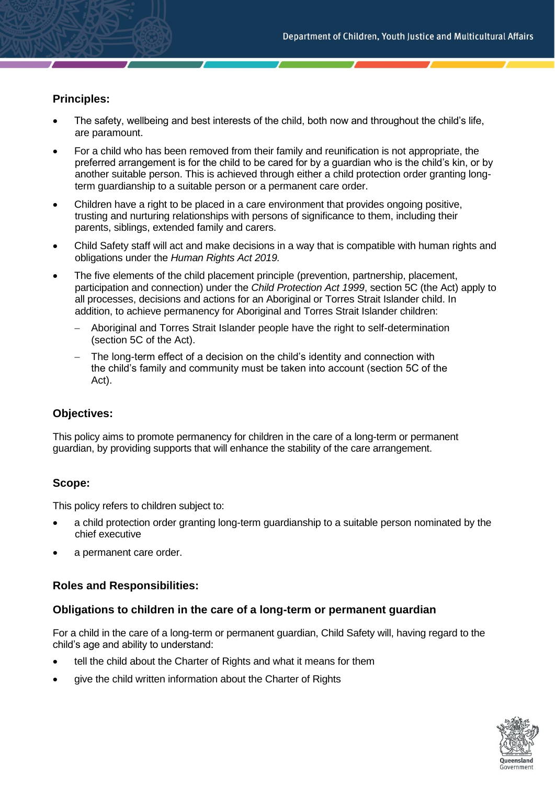# **Principles:**

- The safety, wellbeing and best interests of the child, both now and throughout the child's life, are paramount.
- For a child who has been removed from their family and reunification is not appropriate, the preferred arrangement is for the child to be cared for by a guardian who is the child's kin, or by another suitable person. This is achieved through either a child protection order granting longterm guardianship to a suitable person or a permanent care order.
- Children have a right to be placed in a care environment that provides ongoing positive, trusting and nurturing relationships with persons of significance to them, including their parents, siblings, extended family and carers.
- Child Safety staff will act and make decisions in a way that is compatible with human rights and obligations under the *Human Rights Act 2019.*
- The five elements of the child placement principle (prevention, partnership, placement, participation and connection) under the *Child Protection Act 1999*, section 5C (the Act) apply to all processes, decisions and actions for an Aboriginal or Torres Strait Islander child. In addition, to achieve permanency for Aboriginal and Torres Strait Islander children:
	- − Aboriginal and Torres Strait Islander people have the right to self-determination (section 5C of the Act).
	- The long-term effect of a decision on the child's identity and connection with the child's family and community must be taken into account (section 5C of the Act).

#### **Objectives:**

This policy aims to promote permanency for children in the care of a long-term or permanent guardian, by providing supports that will enhance the stability of the care arrangement.

# **Scope:**

This policy refers to children subject to:

- a child protection order granting long-term guardianship to a suitable person nominated by the chief executive
- a permanent care order.

# **Roles and Responsibilities:**

#### **Obligations to children in the care of a long-term or permanent guardian**

For a child in the care of a long-term or permanent guardian, Child Safety will, having regard to the child's age and ability to understand:

- tell the child about the Charter of Rights and what it means for them
- give the child written information about the Charter of Rights

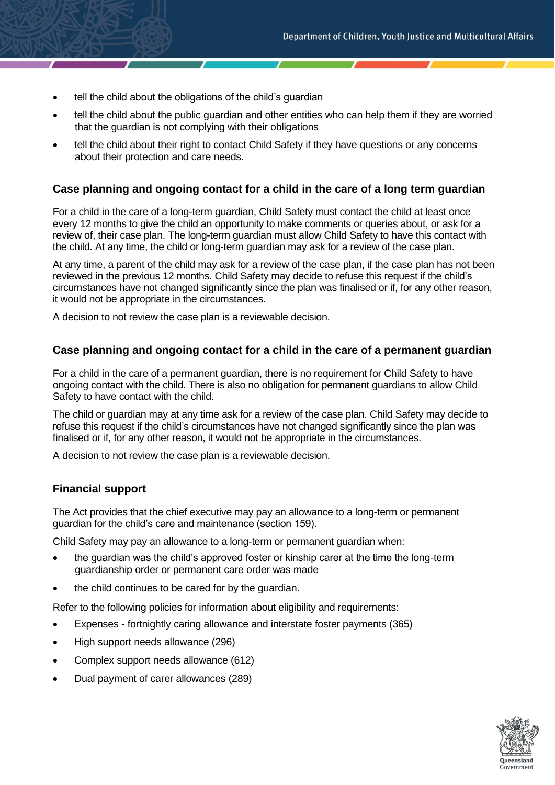- tell the child about the obligations of the child's guardian
- tell the child about the public guardian and other entities who can help them if they are worried that the guardian is not complying with their obligations
- tell the child about their right to contact Child Safety if they have questions or any concerns about their protection and care needs.

# **Case planning and ongoing contact for a child in the care of a long term guardian**

For a child in the care of a long-term guardian, Child Safety must contact the child at least once every 12 months to give the child an opportunity to make comments or queries about, or ask for a review of, their case plan. The long-term guardian must allow Child Safety to have this contact with the child. At any time, the child or long-term guardian may ask for a review of the case plan.

At any time, a parent of the child may ask for a review of the case plan, if the case plan has not been reviewed in the previous 12 months. Child Safety may decide to refuse this request if the child's circumstances have not changed significantly since the plan was finalised or if, for any other reason, it would not be appropriate in the circumstances.

A decision to not review the case plan is a reviewable decision.

#### **Case planning and ongoing contact for a child in the care of a permanent guardian**

For a child in the care of a permanent guardian, there is no requirement for Child Safety to have ongoing contact with the child. There is also no obligation for permanent guardians to allow Child Safety to have contact with the child.

The child or guardian may at any time ask for a review of the case plan. Child Safety may decide to refuse this request if the child's circumstances have not changed significantly since the plan was finalised or if, for any other reason, it would not be appropriate in the circumstances.

A decision to not review the case plan is a reviewable decision.

#### **Financial support**

The Act provides that the chief executive may pay an allowance to a long-term or permanent guardian for the child's care and maintenance (section 159).

Child Safety may pay an allowance to a long-term or permanent guardian when:

- the guardian was the child's approved foster or kinship carer at the time the long-term guardianship order or permanent care order was made
- the child continues to be cared for by the guardian.

Refer to the following policies for information about eligibility and requirements:

- Expenses fortnightly caring allowance and interstate foster payments (365)
- High support needs allowance (296)
- Complex support needs allowance (612)
- Dual payment of carer allowances (289)

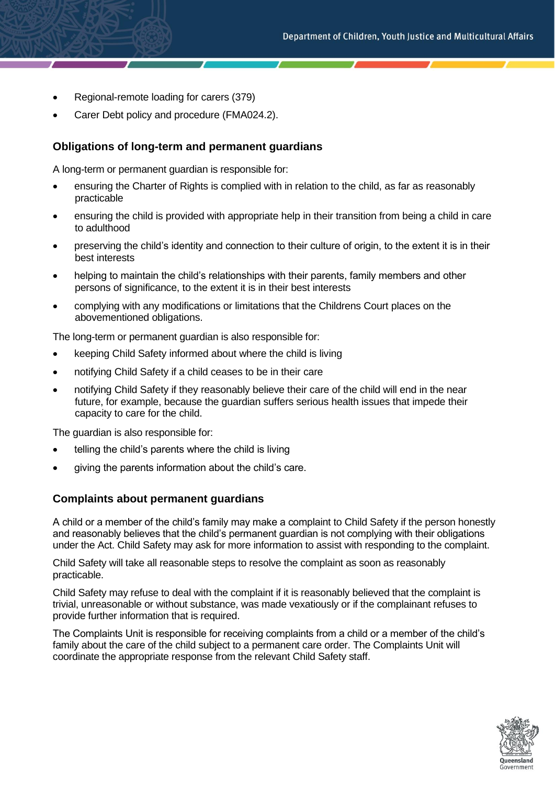- Regional-remote loading for carers (379)
- Carer Debt policy and procedure (FMA024.2).

#### **Obligations of long-term and permanent guardians**

A long-term or permanent guardian is responsible for:

- ensuring the Charter of Rights is complied with in relation to the child, as far as reasonably practicable
- ensuring the child is provided with appropriate help in their transition from being a child in care to adulthood
- preserving the child's identity and connection to their culture of origin, to the extent it is in their best interests
- helping to maintain the child's relationships with their parents, family members and other persons of significance, to the extent it is in their best interests
- complying with any modifications or limitations that the Childrens Court places on the abovementioned obligations.

The long-term or permanent guardian is also responsible for:

- keeping Child Safety informed about where the child is living
- notifying Child Safety if a child ceases to be in their care
- notifying Child Safety if they reasonably believe their care of the child will end in the near future, for example, because the guardian suffers serious health issues that impede their capacity to care for the child.

The guardian is also responsible for:

- telling the child's parents where the child is living
- giving the parents information about the child's care.

#### **Complaints about permanent guardians**

A child or a member of the child's family may make a complaint to Child Safety if the person honestly and reasonably believes that the child's permanent guardian is not complying with their obligations under the Act. Child Safety may ask for more information to assist with responding to the complaint.

Child Safety will take all reasonable steps to resolve the complaint as soon as reasonably practicable.

Child Safety may refuse to deal with the complaint if it is reasonably believed that the complaint is trivial, unreasonable or without substance, was made vexatiously or if the complainant refuses to provide further information that is required.

The Complaints Unit is responsible for receiving complaints from a child or a member of the child's family about the care of the child subject to a permanent care order. The Complaints Unit will coordinate the appropriate response from the relevant Child Safety staff.

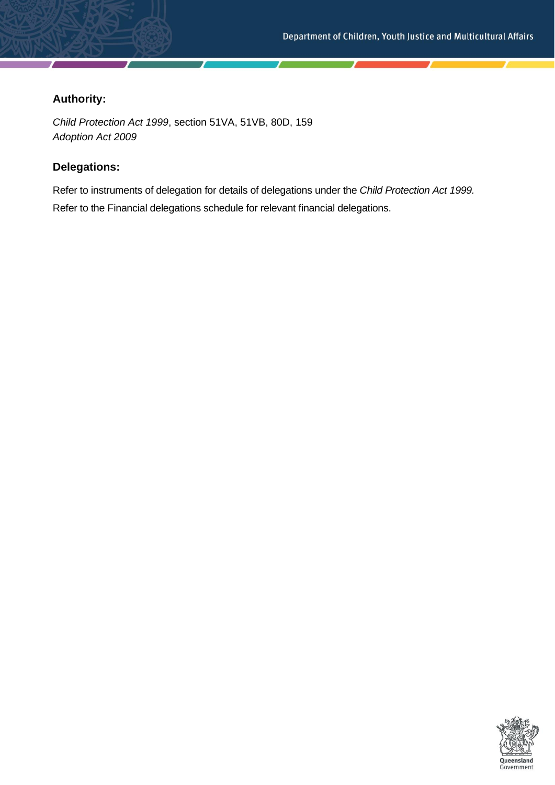# **Authority:**

*Child Protection Act 1999*, section 51VA, 51VB, 80D, 159 *Adoption Act 2009*

# **Delegations:**

Refer to instruments of delegation for details of delegations under the *Child Protection Act 1999.* Refer to the Financial delegations schedule for relevant financial delegations.

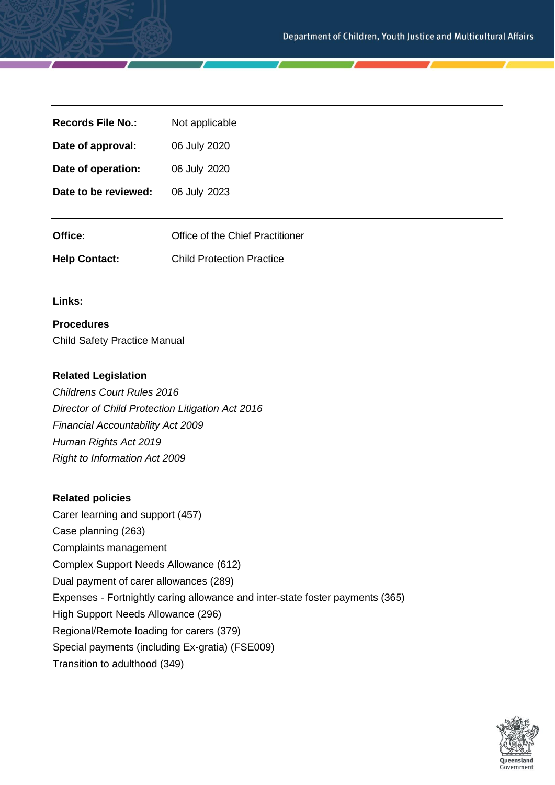| <b>Records File No.:</b> | Not applicable                   |
|--------------------------|----------------------------------|
| Date of approval:        | 06 July 2020                     |
| Date of operation:       | 06 July 2020                     |
| Date to be reviewed:     | 06 July 2023                     |
|                          |                                  |
| Office:                  | Office of the Chief Practitioner |
| <b>Help Contact:</b>     | <b>Child Protection Practice</b> |
|                          |                                  |

#### **Links:**

# **Procedures**

Child Safety Practice Manual

# **Related Legislation**

*Childrens Court Rules 2016 Director of Child Protection Litigation Act 2016 Financial Accountability Act 2009 Human Rights Act 2019 Right to Information Act 2009*

#### **Related policies**

Carer learning and support (457) Case planning (263) Complaints management Complex Support Needs Allowance (612) Dual payment of carer allowances (289) Expenses - Fortnightly caring allowance and inter-state foster payments (365) High Support Needs Allowance (296) Regional/Remote loading for carers (379) Special payments (including Ex-gratia) (FSE009) Transition to adulthood (349)